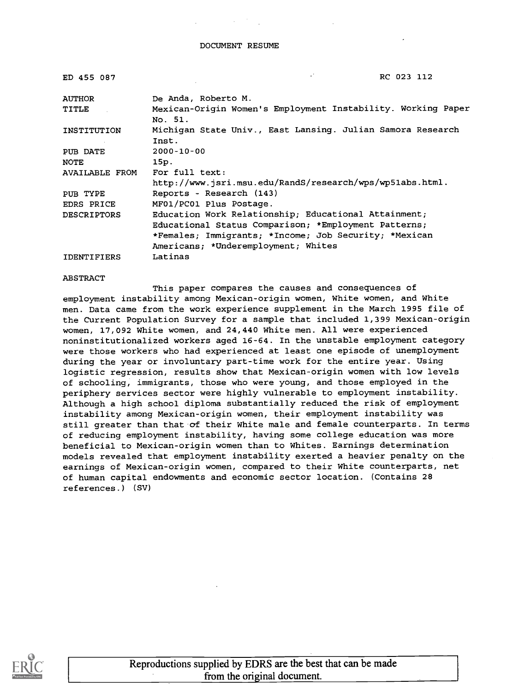| ED 455 087         | RC 023 112                                                              |
|--------------------|-------------------------------------------------------------------------|
| <b>AUTHOR</b>      | De Anda, Roberto M.                                                     |
| TITLE              | Mexican-Origin Women's Employment Instability. Working Paper<br>No. 51. |
| INSTITUTION        | Michigan State Univ., East Lansing. Julian Samora Research<br>Inst.     |
| PUB DATE           | $2000 - 10 - 00$                                                        |
| <b>NOTE</b>        | 15p.                                                                    |
| AVAILABLE FROM     | For full text:                                                          |
|                    | http://www.jsri.msu.edu/RandS/research/wps/wp51abs.html.                |
| PUB TYPE           | Reports - Research (143)                                                |
| EDRS PRICE         | MF01/PC01 Plus Postage.                                                 |
| <b>DESCRIPTORS</b> | Education Work Relationship; Educational Attainment;                    |
|                    | Educational Status Comparison; *Employment Patterns;                    |
|                    | *Females; Immigrants; *Income; Job Security; *Mexican                   |
|                    | Americans; *Underemployment; Whites                                     |
| <b>IDENTIFIERS</b> | Latinas                                                                 |

#### ABSTRACT

This paper compares the causes and consequences of employment instability among Mexican-origin women, White women, and White men. Data came from the work experience supplement in the March 1995 file of the Current Population Survey for a sample that included 1,399 Mexican-origin women, 17,092 White women, and 24,440 White men. All were experienced noninstitutionalized workers aged 16-64. In the unstable employment category were those workers who had experienced at least one episode of unemployment during the year or involuntary part-time work for the entire year. Using logistic regression, results show that Mexican-origin women with low levels of schooling, immigrants, those who were young, and those employed in the periphery services sector were highly vulnerable to employment instability. Although a high school diploma substantially reduced the risk of employment instability among Mexican-origin women, their employment instability was still greater than that of their White male and female counterparts. In terms of reducing employment instability, having some college education was more beneficial to Mexican-origin women than to Whites. Earnings determination models revealed that employment instability exerted a heavier penalty on the earnings of Mexican-origin women, compared to their White counterparts, net of human capital endowments and economic sector location. (Contains 28 references.) (SV)



Reproductions supplied by EDRS are the best that can be made from the original document.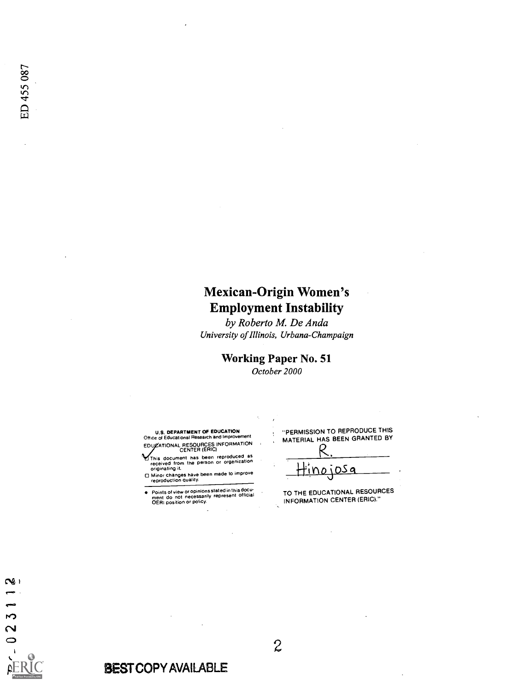# Mexican-Origin Women's Employment Instability

by Roberto M. De Anda University of Illinois, Urbana-Champaign

> Working Paper No. 51 October 2000

U.S. DEPARTMENT OF EDUCATION<br>Office of Educational Research and Improvement EDUZATIONAL RESOURCES INFORMATION

- This document has been reproduced as<br>received from the person or organization<br>originating it.<br>Minor changes have been made to improve<br>reproduction quality.
- 

 $\bullet$ Points of view or opinions stated in this docu-ment do not necessarily represent official OERI position or policy.

"PERMISSION TO REPRODUCE THIS MATERIAL HAS BEEN GRANTED BY

R. <u>Hinojosa</u>

TO THE EDUCATIONAL RESOURCES INFORMATION CENTER (ERIC)."



2

# BEST COPY AVAILABLE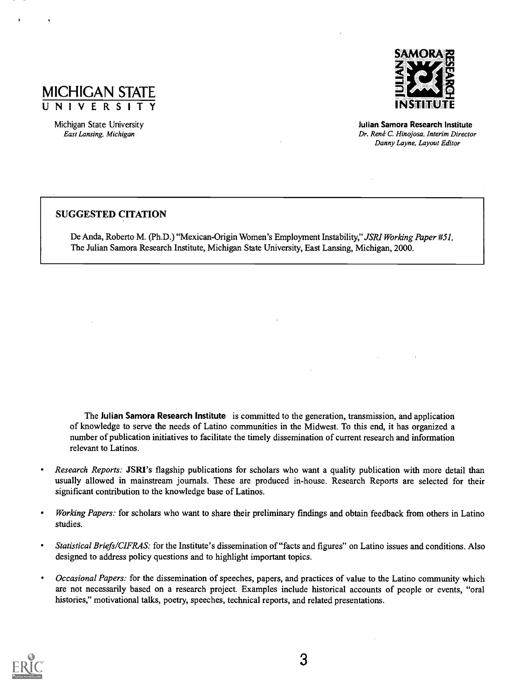

Michigan State University East Lansing, Michigan



Julian Samora Research Institute Dr. René C. Hinojosa, Interim Director Danny Layne, Layout Editor

## SUGGESTED CITATION

De Anda, Roberto M. (Ph.D.) "Mexican-Origin Women's Employment Instability," JSRI Working Paper #51, The Julian Samora Research Institute, Michigan State University, East Lansing, Michigan, 2000.

The Julian Samora Research Institute is committed to the generation, transmission, and application of knowledge to serve the needs of Latino communities in the Midwest. To this end, it has organized a number of publication initiatives to facilitate the timely dissemination of current research and information relevant to Latinos.

- Research Reports: JSRI's flagship publications for scholars who want a quality publication with more detail than  $\bullet$ usually allowed in mainstream journals. These are produced in-house. Research Reports are selected for their significant contribution to the knowledge base of Latinos.
- Working Papers: for scholars who want to share their preliminary findings and obtain feedback from others in Latino  $\bullet$ studies.
- Statistical Briefs/CIFRAS: for the Institute's dissemination of "facts and figures" on Latino issues and conditions. Also  $\bullet$ designed to address policy questions and to highlight important topics.
- $\bullet$ Occasional Papers: for the dissemination of speeches, papers, and practices of value to the Latino community which are not necessarily based on a research project. Examples include historical accounts of people or events, "oral histories," motivational talks, poetry, speeches, technical reports, and related presentations.

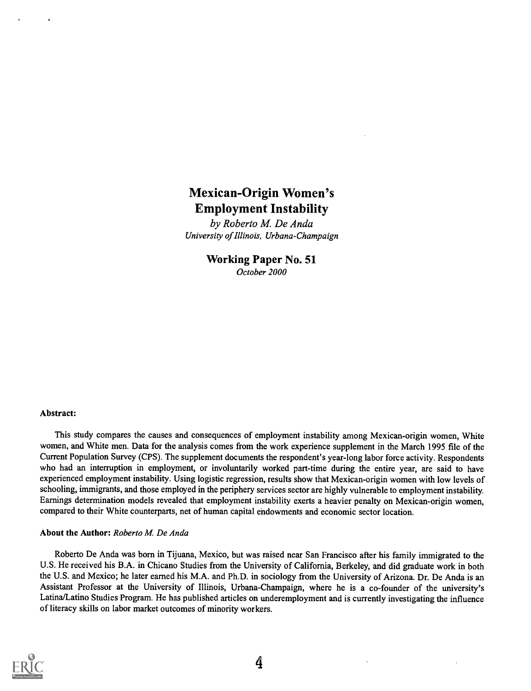# Mexican-Origin Women's Employment Instability

by Roberto M. De Anda University of Illinois, Urbana-Champaign

> Working Paper No. 51 October 2000

#### Abstract:

This study compares the causes and consequences of employment instability among Mexican-origin women, White women, and White men. Data for the analysis comes from the work experience supplement in the March 1995 file of the Current Population Survey (CPS). The supplement documents the respondent's year-long labor force activity. Respondents who had an interruption in employment, or involuntarily worked part-time during the entire year, are said to have experienced employment instability. Using logistic regression, results show that Mexican-origin women with low levels of schooling, immigrants, and those employed in the periphery services sector are highly vulnerable to employment instability. Earnings determination models revealed that employment instability exerts a heavier penalty on Mexican-origin women, compared to their White counterparts, net of human capital endowments and economic sector location.

#### About the Author: Roberto M. De Anda

Roberto De Anda was born in Tijuana, Mexico, but was raised near San Francisco after his family immigrated to the U.S. He received his B.A. in Chicano Studies from the University of California, Berkeley, and did graduate work in both the U.S. and Mexico; he later earned his M.A. and Ph.D. in sociology from the University of Arizona. Dr. De Anda is an Assistant Professor at the University of Illinois, Urbana-Champaign, where he is a co-founder of the university's Latina/Latino Studies Program. He has published articles on underemployment and is currently investigating the influence of literacy skills on labor market outcomes of minority workers.

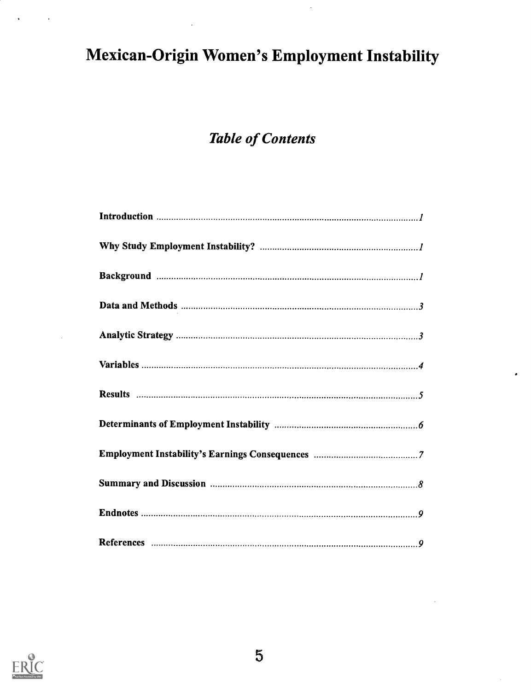# Mexican-Origin Women's Employment Instability

# Table of Contents

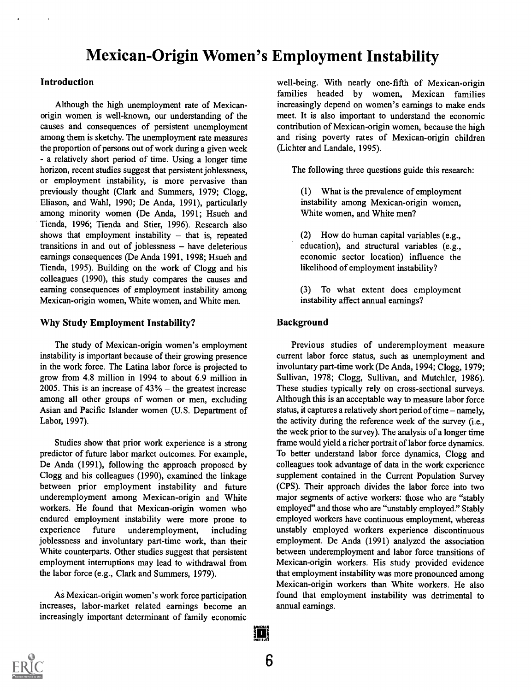# Mexican-Origin Women's Employment Instability

## Introduction

Although the high unemployment rate of Mexicanorigin women is well-known, our understanding of the causes and consequences of persistent unemployment among them is sketchy. The unemployment rate measures the proportion of persons out of work during a given week - a relatively short period of time. Using a longer time horizon, recent studies suggest that persistent joblessness, or employment instability, is more pervasive than previously thought (Clark and Summers, 1979; Clogg, Eliason, and Wahl, 1990; De Anda, 1991), particularly among minority women (De Anda, 1991; Hsueh and Tienda, 1996; Tienda and Stier, 1996). Research also shows that employment instability  $-$  that is, repeated transitions in and out of joblessness  $-$  have deleterious earnings consequences (De Anda 1991, 1998; Hsueh and Tienda, 1995). Building on the work of Clogg and his colleagues (1990), this study compares the causes and earning consequences of employment instability among Mexican-origin women, White women, and White men.

## Why Study Employment Instability?

The study of Mexican-origin women's employment instability is important because of their growing presence in the work force. The Latina labor force is projected to grow from 4.8 million in 1994 to about 6.9 million in 2005. This is an increase of  $43% -$  the greatest increase among all other groups of women or men, excluding Asian and Pacific Islander women (U.S. Department of Labor, 1997).

Studies show that prior work experience is a strong predictor of future labor market outcomes. For example, De Anda (1991), following the approach proposed by Clogg and his colleagues (1990), examined the linkage between prior employment instability and future underemployment among Mexican-origin and White workers. He found that Mexican-origin women who endured employment instability were more prone to experience future underemployment, including joblessness and involuntary part-time work, than their White counterparts. Other studies suggest that persistent employment interruptions may lead to withdrawal from the labor force (e.g., Clark and Summers, 1979).

As Mexican-origin women's work force participation increases, labor-market related earnings become an increasingly important determinant of family economic well-being. With nearly one-fifth of Mexican-origin families headed by women, Mexican families increasingly depend on women's earnings to make ends meet. It is also important to understand the economic contribution of Mexican-origin women, because the high and rising poverty rates of Mexican-origin children (Lichter and Landale, 1995).

The following three questions guide this research:

(1) What is the prevalence of employment instability among Mexican-origin women, White women, and White men?

(2) How do human capital variables (e.g., education), and structural variables (e.g., economic sector location) influence the likelihood of employment instability?

(3) To what extent does employment instability affect annual earnings?

# Background

Previous studies of underemployment measure current labor force status, such as unemployment and involuntary part-time work (De Anda, 1994; Clogg, 1979; Sullivan, 1978; Clogg, Sullivan, and Mutchler, 1986). These studies typically rely on cross-sectional surveys. Although this is an acceptable way to measure labor force status, it captures a relatively short period of time  $-$  namely, the activity during the reference week of the survey (i.e., the week prior to the survey). The analysis of a longer time frame would yield a richer portrait of labor force dynamics. To better understand labor force dynamics, Clogg and colleagues took advantage of data in the work experience supplement contained in the Current Population Survey (CPS). Their approach divides the labor force into two major segments of active workers: those who are "stably employed" and those who are "unstably employed." Stably employed workers have continuous employment, whereas unstably employed workers experience discontinuous employment. De Anda (1991) analyzed the association between underemployment and labor force transitions of Mexican-origin workers. His study provided evidence that employment instability was more pronounced among Mexican-origin workers than White workers. He also found that employment instability was detrimental to annual earnings.



打勝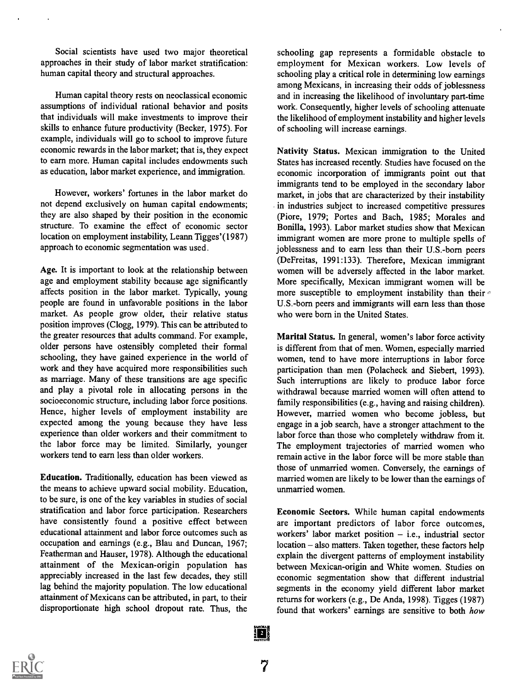Social scientists have used two major theoretical approaches in their study of labor market stratification: human capital theory and structural approaches.

Human capital theory rests on neoclassical economic assumptions of individual rational behavior and posits that individuals will make investments to improve their skills to enhance future productivity (Becker, 1975). For example, individuals will go to school to improve future economic rewards in the labor market; that is, they expect to earn more. Human capital includes endowments such as education, labor market experience, and immigration.

However, workers' fortunes in the labor market do not depend exclusively on human capital endowments; they are also shaped by their position in the economic structure. To examine the effect of economic sector location on employment instability, Leann Tigges'(1987) approach to economic segmentation was used.

Age. It is important to look at the relationship between age and employment stability because age significantly affects position in the labor market. Typically, young people are found in unfavorable positions in the labor market. As people grow older, their relative status position improves (Clogg, 1979). This can be attributed to the greater resources that adults command. For example, older persons have ostensibly completed their formal schooling, they have gained experience in the world of work and they have acquired more responsibilities such as marriage. Many of these transitions are age specific and play a pivotal role in allocating persons in the socioeconomic structure, including labor force positions. Hence, higher levels of employment instability are expected among the young because they have less experience than older workers and their commitment to the labor force may be limited. Similarly, younger workers tend to earn less than older workers.

Education. Traditionally, education has been viewed as the means to achieve upward social mobility. Education, to be sure, is one of the key variables in studies of social stratification and labor force participation. Researchers have consistently found a positive effect between educational attainment and labor force outcomes such as occupation and earnings (e.g., Blau and Duncan, 1967; Featherman and Hauser, 1978). Although the educational attainment of the Mexican-origin population has appreciably increased in the last few decades, they still lag behind the majority population. The low educational attainment of Mexicans can be attributed, in part, to their disproportionate high school dropout rate. Thus, the schooling gap represents a formidable obstacle to employment for Mexican workers. Low levels of schooling play a critical role in determining low earnings among Mexicans, in increasing their odds of joblessness and in increasing the likelihood of involuntary part-time work. Consequently, higher levels of schooling attenuate the likelihood of employment instability and higher levels of schooling will increase earnings.

Nativity Status. Mexican immigration to the United States has increased recently. Studies have focused on the economic incorporation of immigrants point out that immigrants tend to be employed in the secondary labor market, in jobs that are characterized by their instability in industries subject to increased competitive pressures (Piore, 1979; Portes and Bach, 1985; Morales and Bonilla, 1993). Labor market studies show that Mexican immigrant women are more prone to multiple spells of ioblessness and to earn less than their U.S.-born peers (DeFreitas, 1991:133). Therefore, Mexican immigrant women will be adversely affected in the labor market. More specifically, Mexican immigrant women will be more susceptible to employment instability than their U.S.-born peers and immigrants will earn less than those who were born in the United States.

Marital Status. In general, women's labor force activity is different from that of men. Women, especially married women, tend to have more interruptions in labor force participation than men (Polacheck and Siebert, 1993). Such interruptions are likely to produce labor force withdrawal because married women will often attend to family responsibilities (e.g., having and raising children). However, married women who become jobless, but engage in a job search, have a stronger attachment to the labor force than those who completely withdraw from it. The employment trajectories of married women who remain active in the labor force will be more stable than those of unmarried women. Conversely, the earnings of married women are likely to be lower than the earnings of unmarried women.

Economic Sectors. While human capital endowments are important predictors of labor force outcomes, workers' labor market position  $-$  i.e., industrial sector location – also matters. Taken together, these factors help explain the divergent patterns of employment instability between Mexican-origin and White women. Studies on economic segmentation show that different industrial segments in the economy yield different labor market returns for workers (e.g., De Anda, 1998). Tigges (1987) found that workers' earnings are sensitive to both how

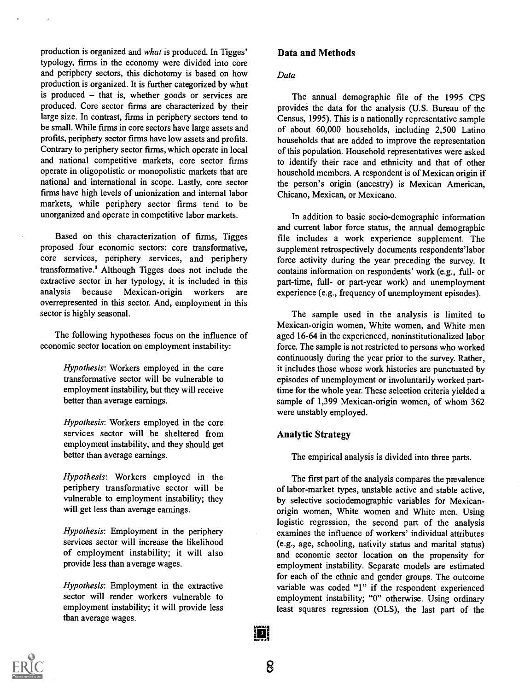production is organized and what is produced. In Tigges' typology, firms in the economy were divided into core and periphery sectors, this dichotomy is based on how production is organized. It is further categorized by what is produced  $-$  that is, whether goods or services are produced. Core sector firms are characterized by their large size. In contrast, firms in periphery sectors tend to be small. While firms in core sectors have large assets and profits, periphery sector firms have low assets and profits. Contrary to periphery sector firms, which operate in local and national competitive markets, core sector firms operate in oligopolistic or monopolistic markets that are national and international in scope. Lastly, core sector firms have high levels of unionization and internal labor markets, while periphery sector firms tend to be unorganized and operate in competitive labor markets.

Based on this characterization of firms, Tigges proposed four economic sectors: core transformative, core services, periphery services, and periphery transformative.' Although Tigges does not include the extractive sector in her typology, it is included in this analysis because Mexican-origin workers are overrepresented in this sector. And, employment in this sector is highly seasonal.

The following hypotheses focus on the influence of economic sector location on employment instability:

> Hypothesis: Workers employed in the core transformative sector will be vulnerable to employment instability, but they will receive better than average earnings.

> Hypothesis: Workers employed in the core services sector will be sheltered from employment instability, and they should get better than average earnings.

> Hypothesis: Workers employed in the periphery transformative sector will be vulnerable to employment instability; they will get less than average earnings.

> Hypothesis: Employment in the periphery services sector will increase the likelihood of employment instability; it will also provide less than average wages.

> Hypothesis: Employment in the extractive sector will render workers vulnerable to employment instability; it will provide less than average wages.

#### Data and Methods

#### Data

The annual demographic file of the 1995 CPS provides the data for the analysis (U.S. Bureau of the Census, 1995). This is a nationally representative sample of about 60,000 households, including 2,500 Latino households that are added to improve the representation of this population. Household representatives were asked to identify their race and ethnicity and that of other household members. A respondent is of Mexican origin if the person's origin (ancestry) is Mexican American, Chicano, Mexican, or Mexicano.

In addition to basic socio-demographic information and current labor force status, the annual demographic file includes a work experience supplement. The supplement retrospectively documents respondents'labor force activity during the year preceding the survey. It contains information on respondents' work (e.g., full- or part-time, full- or part-year work) and unemployment experience (e.g., frequency of unemployment episodes).

The sample used in the analysis is limited to Mexican-origin women, White women, and White men aged 16-64 in the experienced, noninstitutionalized labor force. The sample is not restricted to persons who worked continuously during the year prior to the survey. Rather, it includes those whose work histories are punctuated by episodes of unemployment or involuntarily worked parttime for the whole year. These selection criteria yielded a sample of 1,399 Mexican-origin women, of whom 362 were unstably employed.

## Analytic Strategy

The empirical analysis is divided into three parts.

The first part of the analysis compares the prevalence of labor-market types, unstable active and stable active, by selective sociodemographic variables for Mexicanorigin women, White women and White men. Using logistic regression, the second part of the analysis examines the influence of workers' individual attributes (e.g., age, schooling, nativity status and marital status) and economic sector location on the propensity for employment instability. Separate models are estimated for each of the ethnic and gender groups. The outcome variable was coded "1" if the respondent experienced employment instability; "0" otherwise. Using ordinary least squares regression (OLS), the last part of the



i dj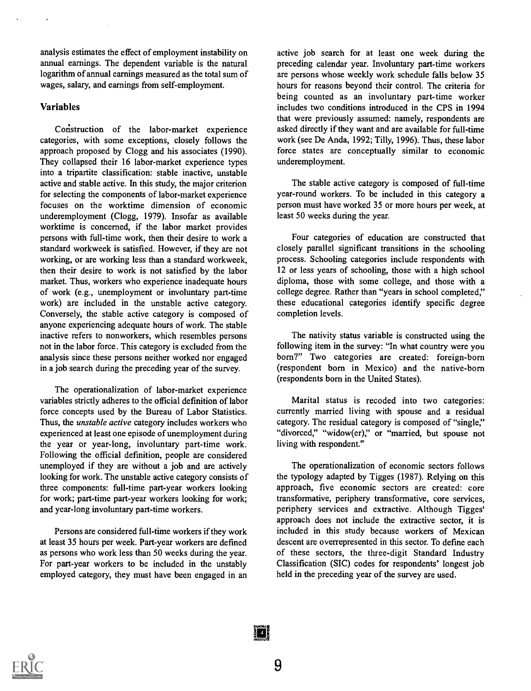analysis estimates the effect of employment instability on annual earnings. The dependent variable is the natural logarithm of annual earnings measured as the total sum of wages, salary, and earnings from self-employment.

## Variables

Construction of the labor-market experience categories, with some exceptions, closely follows the approach proposed by Clogg and his associates (1990). They collapsed their 16 labor-market experience types into a tripartite classification: stable inactive, unstable active and stable active. In this study, the major criterion for selecting the components of labor-market experience focuses on the worktime dimension of economic underemployment (Clogg, 1979). Insofar as available worktime is concerned, if the labor market provides persons with full-time work, then their desire to work a standard workweek is satisfied. However, if they are not working, or are working less than a standard workweek, then their desire to work is not satisfied by the labor market. Thus, workers who experience inadequate hours of work (e.g., unemployment or involuntary part-time work) are included in the unstable active category. Conversely, the stable active category is composed of anyone experiencing adequate hours of work. The stable inactive refers to nonworkers, which resembles persons not in the labor force. This category is excluded from the analysis since these persons neither worked nor engaged in a job search during the preceding year of the survey.

The operationalization of labor-market experience variables strictly adheres to the official definition of labor force concepts used by the Bureau of Labor Statistics. Thus, the *unstable active* category includes workers who experienced at least one episode of unemployment during the year or year-long, involuntary part-time work. Following the official definition, people are considered unemployed if they are without a job and are actively looking for work. The unstable active category consists of three components: full-time part-year workers looking for work; part-time part-year workers looking for work; and year-long involuntary part-time workers.

Persons are considered full-time workers if they work at least 35 hours per week. Part-year workers are defined as persons who work less than 50 weeks during the year. For part-year workers to be included in the unstably employed category, they must have been engaged in an active job search for at least one week during the preceding calendar year. Involuntary part-time workers are persons whose weekly work schedule falls below 35 hours for reasons beyond their control. The criteria for being counted as an involuntary part-time worker includes two conditions introduced in the CPS in 1994 that were previously assumed: namely, respondents are asked directly if they want and are available for full-time work (see De Anda, 1992; Tilly, 1996). Thus, these labor force states are conceptually similar to economic underemployment.

The stable active category is composed of full-time year-round workers. To be included in this category a person must have worked 35 or more hours per week, at least 50 weeks during the year.

Four categories of education are constructed that closely parallel significant transitions in the schooling process. Schooling categories include respondents with 12 or less years of schooling, those with a high school diploma, those with some college, and those with a college degree. Rather than "years in school completed," these educational categories identify specific degree completion levels.

The nativity status variable is constructed using the following item in the survey: "In what country were you born?" Two categories are created: foreign-born (respondent born in Mexico) and the native-born (respondents born in the United States).

Marital status is recoded into two categories: currently married living with spouse and a residual category. The residual category is composed of "single," "divorced," "widow(er)," or "married, but spouse not living with respondent."

The operationalization of economic sectors follows the typology adapted by Tigges (1987). Relying on this approach, five economic sectors are created: core transformative, periphery transformative, core services, periphery services and extractive. Although Tigges' approach does not include the extractive sector, it is included in this study because workers of Mexican descent are overrepresented in this sector. To define each of these sectors, the three-digit Standard Industry Classification (SIC) codes for respondents' longest job held in the preceding year of the survey are used.



in!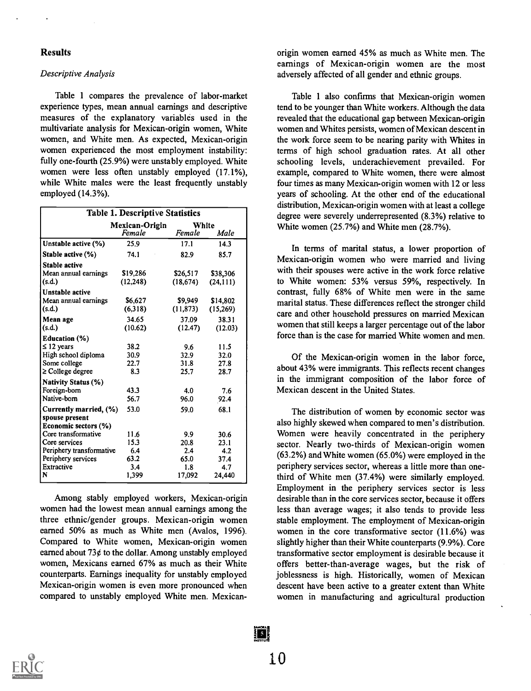#### Results

#### Descriptive Analysis

Table 1 compares the prevalence of labor-market experience types, mean annual earnings and descriptive measures of the explanatory variables used in the multivariate analysis for Mexican-origin women, White women, and White men. As expected, Mexican-origin women experienced the most employment instability: fully one-fourth (25.9%) were unstably employed. White women were less often unstably employed (17.1%), while White males were the least frequently unstably employed (14.3%).

|                                                | <b>Table 1. Descriptive Statistics</b> |                 |               |  |  |
|------------------------------------------------|----------------------------------------|-----------------|---------------|--|--|
|                                                | Mexican-Origin<br>Female               | White<br>Female | Male          |  |  |
| Unstable active (%)                            | 25.9                                   | 17.1            | 14.3          |  |  |
| Stable active (%)                              | 74.1                                   | 82.9            | 85.7          |  |  |
| <b>Stable active</b>                           |                                        |                 |               |  |  |
| Mean annual earnings                           | \$19,286                               | \$26,517        | \$38,306      |  |  |
| (s.d.)                                         | (12, 248)                              | (18, 674)       | (24, 111)     |  |  |
| <b>Unstable active</b>                         |                                        |                 |               |  |  |
| Mean annual earnings                           | \$6,627                                | \$9,949         | \$14,802      |  |  |
| (s.d.)                                         | (6,318)                                | (11, 873)       | (15,269)      |  |  |
| Mean age                                       | 34.65                                  | 37.09           | 38.31         |  |  |
| (s.d.)                                         | (10.62)                                | (12.47)         | (12.03)       |  |  |
| <b>Education</b> (%)                           |                                        |                 |               |  |  |
| $\leq$ 12 years                                | 38.2                                   | 9.6             | 11.5          |  |  |
| High school diploma                            | 30.9                                   | 32.9            | 32.0          |  |  |
| Some college                                   | 22.7                                   | 31.8            | 27.8          |  |  |
| $\geq$ College degree                          | 8.3                                    | 25.7            | 28.7          |  |  |
| <b>Nativity Status (%)</b>                     |                                        |                 |               |  |  |
| Foreign-born                                   | 43.3                                   | 4.0             | 7.6           |  |  |
| Native-born                                    | 56.7                                   | 96.0            | 92.4          |  |  |
| Currently married, $(\%)$                      | 53.0                                   | 59.0            | 68.1          |  |  |
| spouse present                                 |                                        |                 |               |  |  |
| Economic sectors (%)                           |                                        |                 |               |  |  |
| Core transformative                            | 11.6                                   | 9.9             | 30.6          |  |  |
| Core services                                  | 15.3                                   | 20.8            | 23.1          |  |  |
| Periphery transformative<br>Periphery services | 6.4<br>63.2                            | 2.4             | 4.2           |  |  |
| Extractive                                     | 3.4                                    | 65.0<br>1.8     | 37.4          |  |  |
| N                                              | 1,399                                  | 17,092          | 4.7<br>24,440 |  |  |
|                                                |                                        |                 |               |  |  |

Among stably employed workers, Mexican-origin women had the lowest mean annual earnings among the three ethnic/gender groups. Mexican-origin women earned 50% as much as White men (Avalos, 1996). Compared to White women, Mexican-origin women earned about  $73¢$  to the dollar. Among unstably employed women, Mexicans earned 67% as much as their White counterparts. Earnings inequality for unstably employed Mexican-origin women is even more pronounced when compared to unstably employed White men. Mexicanorigin women earned 45% as much as White men. The earnings of Mexican-origin women are the most adversely affected of all gender and ethnic groups.

Table 1 also confirms that Mexican-origin women tend to be younger than White workers. Although the data revealed that the educational gap between Mexican-origin women and Whites persists, women of Mexican descent in the work force seem to be nearing parity with Whites in terms of high school graduation rates. At all other schooling levels, underachievement prevailed. For example, compared to White women, there were almost four times as many Mexican-origin women with 12 or less years of schooling. At the other end of the educational distribution, Mexican-origin women with at least a college degree were severely underrepresented (8.3%) relative to White women (25.7%) and White men (28.7%).

In terms of marital status, a lower proportion of Mexican-origin women who were married and living with their spouses were active in the work force relative to White women: 53% versus 59%, respectively. In contrast, fully 68% of White men were in the same marital status. These differences reflect the stronger child care and other household pressures on married Mexican women that still keeps a larger percentage out of the labor force than is the case for married White women and men.

Of the Mexican-origin women in the labor force, about 43% were immigrants. This reflects recent changes in the immigrant composition of the labor force of Mexican descent in the United States.

The distribution of women by economic sector was also highly skewed when compared to men's distribution. Women were heavily concentrated in the periphery sector. Nearly two-thirds of Mexican-origin women (63.2%) and White women (65.0%) were employed in the periphery services sector, whereas a little more than onethird of White men (37.4%) were similarly employed. Employment in the periphery services sector is less desirable than in the core services sector, because it offers less than average wages; it also tends to provide less stable employment. The employment of Mexican-origin women in the core transformative sector (11.6%) was slightly higher than their White counterparts (9.9%). Core transformative sector employment is desirable because it offers better-than-average wages, but the risk of joblessness is high. Historically, women of Mexican descent have been active to a greater extent than White women in manufacturing and agricultural production

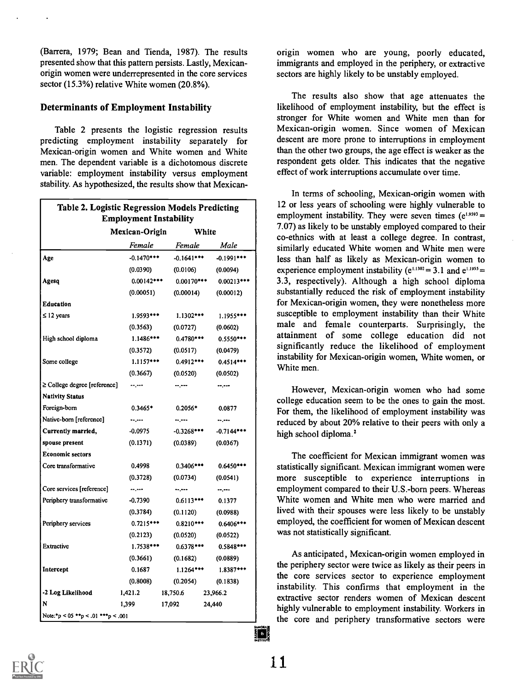(Barrera, 1979; Bean and Tienda, 1987). The results presented show that this pattern persists. Lastly, Mexicanorigin women were underrepresented in the core services sector (15.3%) relative White women (20.8%).

## Determinants of Employment Instability

Table 2 presents the logistic regression results predicting employment instability separately for Mexican-origin women and White women and White men. The dependent variable is a dichotomous discrete variable: employment instability versus employment stability. As hypothesized, the results show that Mexican-

| Table 2. Logistic Regression Models Predicting<br><b>Employment Instability</b> |                         |               |              |  |  |
|---------------------------------------------------------------------------------|-------------------------|---------------|--------------|--|--|
|                                                                                 | Mexican-Origin<br>White |               |              |  |  |
|                                                                                 |                         | Female Female | Male         |  |  |
| Age                                                                             | $-0.1470***$            | $-0.1641***$  | $-0.1991***$ |  |  |
|                                                                                 | (0.0390)                | (0.0106)      | (0.0094)     |  |  |
| Agesq                                                                           | $0.00142***$            | $0.00170***$  | $0.00213***$ |  |  |
|                                                                                 | (0.00051)               | (0.00014)     | (0.00012)    |  |  |
| Education                                                                       |                         |               |              |  |  |
| $\leq$ 12 years                                                                 | $1.9593***$             | $1.1302***$   | 1.1955 ***   |  |  |
|                                                                                 | (0.3563)                | (0.0727)      | (0.0602)     |  |  |
| High school diploma                                                             | $1.1486***$             | $0.4780***$   | $0.5550***$  |  |  |
|                                                                                 | (0.3572)                | (0.0517)      | (0.0479)     |  |  |
| Some college                                                                    | $1.1157***$             | $0.4912***$   | $0.4514***$  |  |  |
|                                                                                 | (0.3667)                | (0.0520)      | (0.0502)     |  |  |
| $\geq$ College degree [reference]                                               | --,---                  | --.---        | --.---       |  |  |
| <b>Nativity Status</b>                                                          |                         |               |              |  |  |
| Foreign-born                                                                    | $0.3465*$               | $0.2056*$     | 0.0877       |  |  |
| Native-born [reference]                                                         | $-2 - 1$                | -- ---        |              |  |  |
| Currently married,                                                              | -0.0975                 | $-0.3268$ *** | $-0.7144***$ |  |  |
| spouse present                                                                  | (0.1371)                | (0.0389)      | (0.0367)     |  |  |
| <b>Economic sectors</b>                                                         |                         |               |              |  |  |
| Core transformative                                                             | 0.4998                  | $0.3406***$   | $0.6450***$  |  |  |
|                                                                                 | (0.3728)                | (0.0734)      | (0.0541)     |  |  |
| Core services [reference]                                                       | المسرسة                 | $-200 - 100$  | $-2$         |  |  |
| Periphery transformative                                                        | $-0.7390$               | $0.6113***$   | 0.1377       |  |  |
|                                                                                 | (0.3784)                | (0.1120)      | (0.0988)     |  |  |
| Periphery services                                                              | $0.7215***$             | $0.8210***$   | $0.6406***$  |  |  |
|                                                                                 | (0.2123)                | (0.0520)      | (0.0522)     |  |  |
| Extractive                                                                      | $1.7538***$             | $0.6378***$   | $0.5848***$  |  |  |
|                                                                                 | (0.3661)                | (0.1682)      | (0.0889)     |  |  |
| Intercept                                                                       | 0.1687                  | $1.1264***$   | $1.8387***$  |  |  |
|                                                                                 | (0.8008)                | (0.2054)      | (0.1838)     |  |  |
| -2 Log Likelihood                                                               | 1,421.2                 | 18,750.6      | 23,966.2     |  |  |
| N                                                                               | 1,399                   | 17,092        | 24,440       |  |  |
| Note:*p < 05 **p < .01 ***p < .001                                              |                         |               |              |  |  |

origin women who are young, poorly educated, immigrants and employed in the periphery, or extractive sectors are highly likely to be unstably employed.

The results also show that age attenuates the likelihood of employment instability, but the effect is stronger for White women and White men than for Mexican-origin women. Since women of Mexican descent are more prone to interruptions in employment than the other two groups, the age effect is weaker as the respondent gets older. This indicates that the negative effect of work interruptions accumulate over time.

In terms of schooling, Mexican-origin women with 12 or less years of schooling were highly vulnerable to employment instability. They were seven times  $(e^{1.9593} =$ 7.07) as likely to be unstably employed compared to their co-ethnics with at least a college degree. In contrast, similarly educated White women and White men were less than half as likely as Mexican-origin women to experience employment instability ( $e^{1.1302}$  = 3.1 and  $e^{1.1955}$  = 3.3, respectively). Although a high school diploma substantially reduced the risk of employment instability for Mexican-origin women, they were nonetheless more susceptible to employment instability than their White male and female counterparts. Surprisingly, the attainment of some college education did not significantly reduce the likelihood of employment instability for Mexican-origin women, White women, or White men.

However, Mexican-origin women who had some college education seem to be the ones to gain the most. For them, the likelihood of employment instability was reduced by about 20% relative to their peers with only a high school diploma.<sup>2</sup>

The coefficient for Mexican immigrant women was statistically significant. Mexican immigrant women were more susceptible to experience interruptions in employment compared to their U.S.-born peers. Whereas White women and White men who were married and lived with their spouses were less likely to be unstably employed, the coefficient for women of Mexican descent was not statistically significant.

As anticipated, Mexican-origin women employed in the periphery sector were twice as likely as their peers in the core services sector to experience employment instability. This confirms that employment in the extractive sector renders women of Mexican descent highly vulnerable to employment instability. Workers in the core and periphery transformative sectors were



 $\blacksquare$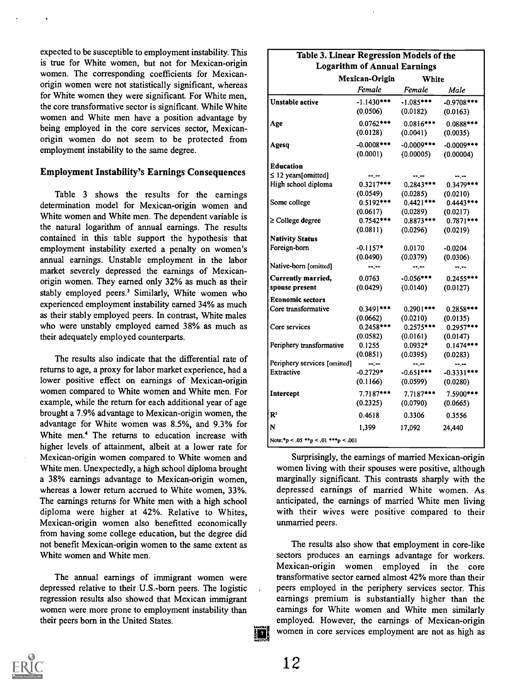expected to be susceptible to employment instability. This is true for White women, but not for Mexican-origin women. The corresponding coefficients for Mexicanorigin women were not statistically significant, whereas for White women they were significant. For White men, the core transformative sector is significant. While White women and White men have a position advantage by being employed in the core services sector, Mexicanorigin women do not seem to be protected from employment instability to the same degree.

#### Employment Instability's Earnings Consequences

Table 3 shows the results for the earnings determination model for Mexican-origin women and White women and White men. The dependent variable is the natural logarithm of annual earnings. The results contained in this table support the hypothesis that employment instability exerted a penalty on women's annual earnings. Unstable employment in the labor market severely depressed the earnings of Mexicanorigin women. They earned only 32% as much as their stably employed peers.' Similarly, White women who experienced employment instability earned 34% as much as their stably employed peers. In contrast, White males who were unstably employed earned 38% as much as their adequately employed counterparts.

The results also indicate that the differential rate of returns to age, a proxy for labor market experience, had a lower positive effect on earnings of Mexican-origin women compared to White women and White men. For example, while the return for each additional year of age brought a 7.9% advantage to Mexican-origin women, the advantage for White women was 8.5%, and 9.3% for White men.<sup>4</sup> The returns to education increase with higher levels of attainment, albeit at a lower rate for Mexican-origin women compared to White women and White men. Unexpectedly, a high school diploma brought a 38% earnings advantage to Mexican-origin women, whereas a lower return accrued to White women, 33%. The earnings returns for White men with a high school diploma were higher at 42%. Relative to Whites, Mexican-origin women also benefitted economically from having some college education, but the degree did not benefit Mexican-origin women to the same extent as White women and White men.

The annual earnings of immigrant women were depressed relative to their U.S.-bom peers. The logistic regression results also showed that Mexican immigrant women were more prone to employment instability than their peers born in the United States.

| Table 3. Linear Regression Models of the | <b>Logarithm of Annual Earnings</b> |                  |               |
|------------------------------------------|-------------------------------------|------------------|---------------|
|                                          | Mexican-Origin                      | White            |               |
|                                          | Female                              | Female           | Male          |
| <b>Unstable active</b>                   | $-1.1430***$                        | $-1.085***$      | $-0.9708***$  |
|                                          | (0.0506)                            | (0.0182)         | (0.0163)      |
| Age                                      | $0.0762***$                         | $0.0816***$      | $0.0888***$   |
|                                          | (0.0128)                            | (0.0041)         | (0.0035)      |
| Agesq                                    | $-0.0008$ ***                       | $-0.0009$ ***    | $-0.0009$ *** |
|                                          | (0.0001)                            | (0.00005)        | (0.00004)     |
| <b>Education</b>                         |                                     |                  |               |
| $\leq$ 12 years[omitted]                 | --.--                               | --.--            | --.--         |
| High school diploma                      | $0.3217***$                         | $0.2843***$      | $0.3479***$   |
|                                          | (0.0549)                            | (0.0285)         | (0.0210)      |
| Some college                             | $0.5192***$                         | $0.4421***$      | $0.4443***$   |
|                                          | (0.0617)                            | (0.0289)         | (0.0217)      |
| $\geq$ College degree                    | $0.7542***$                         | $0.8873***$      | $0.7871***$   |
|                                          | (0.0811)                            | (0.0296)         | (0.0219)      |
| <b>Nativity Status</b>                   |                                     |                  |               |
| Foreign-born                             | $-0.1157*$                          | 0.0170           | $-0.0204$     |
|                                          | (0.0490)                            | (0.0379)         | (0.0306)      |
| Native-born [omitted]                    | $-2.00$                             | $-1 - 1 - 1 = 0$ | $-2 - 1$      |
| Currently married,                       | 0.0763                              | $-0.056***$      | $0.2455***$   |
| spouse present                           | (0.0429)                            | (0.0140)         | (0.0127)      |
| <b>Economic sectors</b>                  |                                     |                  |               |
| Core transformative                      | $0.3491***$                         | $0.2901***$      | $0.2858***$   |
|                                          | (0.0662)                            | (0.0210)         | (0.0135)      |
| Core services                            | $0.2458***$                         | $0.2575***$      | $0.2957***$   |
|                                          | (0.0582)                            | (0.0161)         | (0.0147)      |
| Periphery transformative                 | 0.1255                              | $0.0932*$        | $0.1474***$   |
|                                          | (0.0851)                            | (0.0395)         | (0.0283)      |
| Periphery services [omitted]             | $-1.1$                              | $-1$             | --.--         |
| Extractive                               | $-0.2729*$                          | $-0.651***$      | $-0.3331***$  |
|                                          | (0.1166)                            | (0.0599)         | (0.0280)      |
| Intercept                                | $7.7187***$                         | $7.7187***$      | 7.5900 ***    |
|                                          | (0.2325)                            | (0.0790)         | (0.0665)      |
| $\mathbb{R}^2$                           | 0.4618                              | 0.3306           | 0.3556        |
| N                                        | 1,399                               | 17,092           | 24,440        |
| Note: *p < .05 **p < .01 ***p < .001     |                                     |                  |               |

Surprisingly, the earnings of married Mexican-origin women living with their spouses were positive, although marginally significant. This contrasts sharply with the depressed earnings of married White women. As anticipated, the earnings of married White men living with their wives were positive compared to their unmarried peers.

The results also show that employment in core-like sectors produces an earnings advantage for workers. Mexican-origin women employed in the core transformative sector earned almost 42% more than their peers employed in the periphery services sector. This earnings premium is substantially higher than the earnings for White women and White men similarly employed. However, the earnings of Mexican-origin women in core services employment are not as high as



12

37 P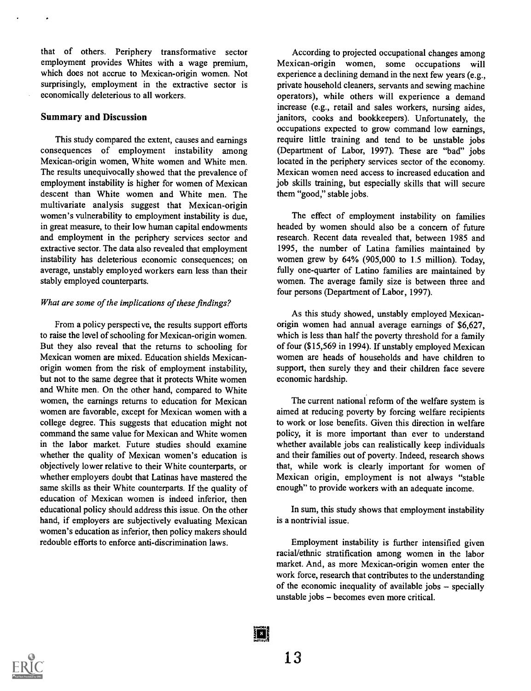that of others. Periphery transformative sector employment provides Whites with a wage premium, which does not accrue to Mexican-origin women. Not surprisingly, employment in the extractive sector is economically deleterious to all workers.

#### Summary and Discussion

This study compared the extent, causes and earnings consequences of employment instability among Mexican-origin women, White women and White men. The results unequivocally showed that the prevalence of employment instability is higher for women of Mexican descent than White women and White men. The multivariate analysis suggest that Mexican-origin women's vulnerability to employment instability is due, in great measure, to their low human capital endowments and employment in the periphery services sector and extractive sector. The data also revealed that employment instability has deleterious economic consequences; on average, unstably employed workers earn less than their stably employed counterparts.

#### What are some of the implications of these findings?

From a policy perspective, the results support efforts to raise the level of schooling for Mexican-origin women. But they also reveal that the returns to schooling for Mexican women are mixed. Education shields Mexicanorigin women from the risk of employment instability, but not to the same degree that it protects White women and White men. On the other hand, compared to White women, the earnings returns to education for Mexican women are favorable, except for Mexican women with a college degree. This suggests that education might not command the same value for Mexican and White women in the labor market. Future studies should examine whether the quality of Mexican women's education is objectively lower relative to their White counterparts, or whether employers doubt that Latinas have mastered the same skills as their White counterparts. If the quality of education of Mexican women is indeed inferior, then educational policy should address this issue. On the other hand, if employers are subjectively evaluating Mexican women's education as inferior, then policy makers should redouble efforts to enforce anti-discrimination laws.

According to projected occupational changes among Mexican-origin women, some occupations will experience a declining demand in the next few years (e.g., private household cleaners, servants and sewing machine operators), while others will experience a demand increase (e.g., retail and sales workers, nursing aides, janitors, cooks and bookkeepers). Unfortunately, the occupations expected to grow command low earnings, require little training and tend to be unstable jobs (Department of Labor, 1997). These are "bad" jobs located in the periphery services sector of the economy. Mexican women need access to increased education and job skills training, but especially skills that will secure them "good," stable jobs.

The effect of employment instability on families headed by women should also be a concern of future research. Recent data revealed that, between 1985 and 1995, the number of Latina families maintained by women grew by 64% (905,000 to 1.5 million). Today, fully one-quarter of Latino families are maintained by women. The average family size is between three and four persons (Department of Labor, 1997).

As this study showed, unstably employed Mexicanorigin women had annual average earnings of \$6,627, which is less than half the poverty threshold for a family of four (\$15,569 in 1994). If unstably employed Mexican women are heads of households and have children to support, then surely they and their children face severe economic hardship.

The current national reform of the welfare system is aimed at reducing poverty by forcing welfare recipients to work or lose benefits. Given this direction in welfare policy, it is more important than ever to understand whether available jobs can realistically keep individuals and their families out of poverty. Indeed, research shows that, while work is clearly important for women of Mexican origin, employment is not always "stable enough" to provide workers with an adequate income.

In sum, this study shows that employment instability is a nontrivial issue.

Employment instability is further intensified given racial/ethnic stratification among women in the labor market. And, as more Mexican-origin women enter the work force, research that contributes to the understanding of the economic inequality of available jobs  $-$  specially unstable jobs  $-\overline{b}$  becomes even more critical.



i di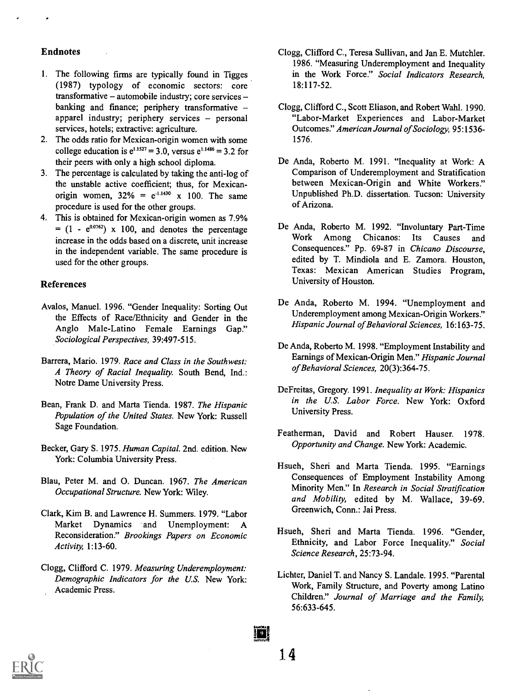#### Endnotes

- 1. The following firms are typically found in Tigges (1987) typology of economic sectors: core  $transformation - automobile industry; core services$ banking and finance; periphery transformative apparel industry; periphery services  $-$  personal services, hotels; extractive: agriculture.
- 2. The odds ratio for Mexican-origin women with some college education is  $e^{1.1527} = 3.0$ , versus  $e^{1.1486} = 3.2$  for their peers with only a high school diploma.
- 3. The percentage is calculated by taking the anti-log of the unstable active coefficient; thus, for Mexicanorigin women,  $32\% = e^{-1.1430} \times 100$ . The same procedure is used for the other groups.
- 4. This is obtained for Mexican-origin women as 7.9%  $=$  (1 -  $e^{0.0762}$ ) x 100, and denotes the percentage D6 increase in the odds based on a discrete, unit increase in the independent variable. The same procedure is used for the other groups.

## References

- Avalos, Manuel. 1996. "Gender Inequality: Sorting Out the Effects of Race/Ethnicity and Gender in the Anglo Male-Latino Female Earnings Gap." Sociological Perspectives, 39:497-515.
- Barrera, Mario. 1979. Race and Class in the Southwest: A Theory of Racial Inequality. South Bend, Ind.: Notre Dame University Press.
- Bean, Frank D. and Marta Tienda. 1987. The Hispanic Population of the United States. New York: Russell Sage Foundation.
- Becker, Gary S. 1975. Human Capital. 2nd. edition. New York: Columbia University Press.
- Blau, Peter M. and 0. Duncan. 1967. The American Occupational Structure. New York: Wiley.
- Clark, Kim B. and Lawrence H. Summers. 1979. "Labor Market Dynamics and Unemployment: A Reconsideration." Brookings Papers on Economic Activity, 1:13-60.
- Clogg, Clifford C. 1979. Measuring Underemployment: Demographic Indicators for the U.S. New York: Academic Press.
- Clogg, Clifford C., Teresa Sullivan, and Jan E. Mutchler. 1986. "Measuring Underemployment and Inequality in the Work Force." Social Indicators Research, 18:117-52.
- Clogg, Clifford C., Scott Eliason, and Robert Wahl. 1990. "Labor-Market Experiences and Labor-Market Outcomes." American Journal of Sociology, 95:1536- 1576.
- De Anda, Roberto M. 1991. "Inequality at Work: A Comparison of Underemployment and Stratification between Mexican-Origin and White Workers." Unpublished Ph.D. dissertation. Tucson: University of Arizona.
- De Anda, Roberto M. 1992. "Involuntary Part-Time Work Among Chicanos: Its Causes and Consequences." Pp. 69-87 in Chicano Discourse, edited by T. Mindiola and E. Zamora. Houston, Texas: Mexican American Studies Program, University of Houston.
- De Anda, Roberto M. 1994. "Unemployment and Underemployment among Mexican-Origin Workers." Hispanic Journal of Behavioral Sciences, 16:163-75.
- De Anda, Roberto M. 1998. "Employment Instability and Earnings of Mexican-Origin Men." Hispanic Journal of Behavioral Sciences, 20(3):364-75.
- DeFreitas, Gregory. 1991. Inequality at Work: Hispanics in the U.S. Labor Force. New York: Oxford University Press.
- Featherman, David and Robert Hauser. 1978. Opportunity and Change. New York: Academic.
- Hsueh, Sheri and Marta Tienda. 1995. "Earnings Consequences of Employment Instability Among Minority Men." In Research in Social Stratification and Mobility, edited by M. Wallace, 39-69. Greenwich, Conn.: Jai Press.
- Hsueh, Sheri and Marta Tienda. 1996. "Gender, Ethnicity, and Labor Force Inequality." Social Science Research, 25:73-94.
- Lichter, Daniel T. and Nancy S. Landale. 1995. "Parental Work, Family Structure, and Poverty among Latino Children." Journal of Marriage and the Family, 56:633-645.



i di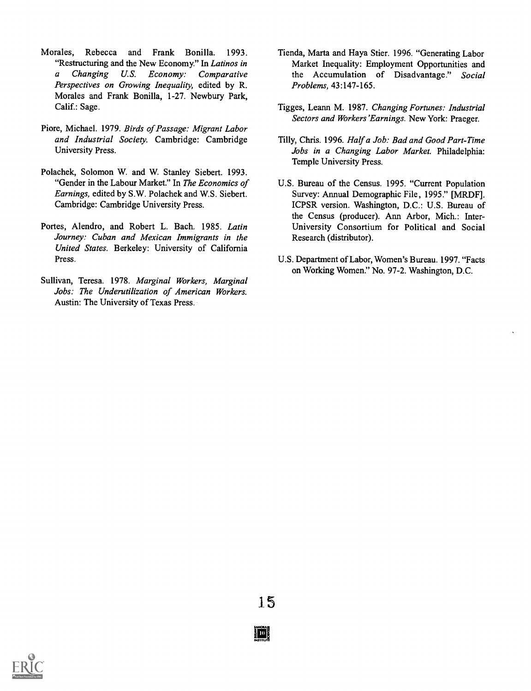- Morales, Rebecca and Frank Bonilla. 1993. "Restructuring and the New Economy." In Latinos in a Changing U.S. Economy: Comparative Perspectives on Growing Inequality, edited by R. Morales and Frank Bonilla, 1-27. Newbury Park, Calif.: Sage.
- Piore, Michael. 1979. Birds of Passage: Migrant Labor and Industrial Society. Cambridge: Cambridge University Press.
- Polachek, Solomon W. and W. Stanley Siebert. 1993. "Gender in the Labour Market." In The Economics of Earnings, edited by S.W. Polachek and W.S. Siebert. Cambridge: Cambridge University Press.
- Portes, Alendro, and Robert L. Bach. 1985. Latin Journey: Cuban and Mexican Immigrants in the United States. Berkeley: University of California Press.
- Sullivan, Teresa. 1978. Marginal Workers, Marginal Jobs: The Underutilization of American Workers. Austin: The University of Texas Press.
- Tienda, Marta and Haya Stier. 1996. "Generating Labor Market Inequality: Employment Opportunities and the Accumulation of Disadvantage." Social Problems, 43:147-165.
- Tigges, Leann M. 1987. Changing Fortunes: Industrial Sectors and Workers' Earnings. New York: Praeger.
- Tilly, Chris. 1996. Half a Job: Bad and Good Part-Time Jobs in a Changing Labor Market. Philadelphia: Temple University Press.
- U.S. Bureau of the Census. 1995. "Current Population Survey: Annual Demographic File, 1995." [MRDF]. ICPSR version. Washington, D.C.: U.S. Bureau of the Census (producer). Ann Arbor, Mich.: Inter-University Consortium for Political and Social Research (distributor).
- U.S. Department of Labor, Women's Bureau. 1997. "Facts on Working Women." No. 97-2. Washington, D.C.